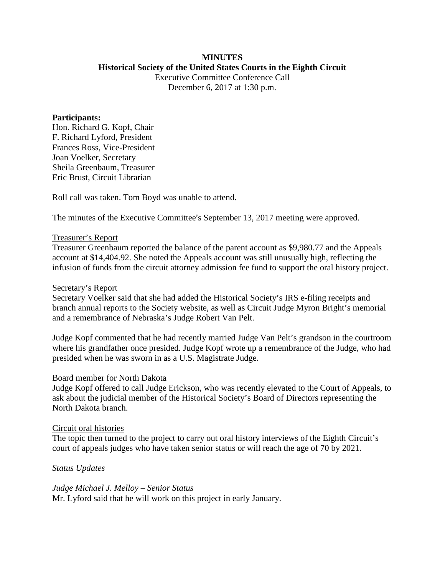### **MINUTES Historical Society of the United States Courts in the Eighth Circuit**

Executive Committee Conference Call December 6, 2017 at 1:30 p.m.

### **Participants:**

Hon. Richard G. Kopf, Chair F. Richard Lyford, President Frances Ross, Vice-President Joan Voelker, Secretary Sheila Greenbaum, Treasurer Eric Brust, Circuit Librarian

Roll call was taken. Tom Boyd was unable to attend.

The minutes of the Executive Committee's September 13, 2017 meeting were approved.

### Treasurer's Report

Treasurer Greenbaum reported the balance of the parent account as \$9,980.77 and the Appeals account at \$14,404.92. She noted the Appeals account was still unusually high, reflecting the infusion of funds from the circuit attorney admission fee fund to support the oral history project.

### Secretary's Report

Secretary Voelker said that she had added the Historical Society's IRS e-filing receipts and branch annual reports to the Society website, as well as Circuit Judge Myron Bright's memorial and a remembrance of Nebraska's Judge Robert Van Pelt.

Judge Kopf commented that he had recently married Judge Van Pelt's grandson in the courtroom where his grandfather once presided. Judge Kopf wrote up a remembrance of the Judge, who had presided when he was sworn in as a U.S. Magistrate Judge.

### Board member for North Dakota

Judge Kopf offered to call Judge Erickson, who was recently elevated to the Court of Appeals, to ask about the judicial member of the Historical Society's Board of Directors representing the North Dakota branch.

### Circuit oral histories

The topic then turned to the project to carry out oral history interviews of the Eighth Circuit's court of appeals judges who have taken senior status or will reach the age of 70 by 2021.

### *Status Updates*

*Judge Michael J. Melloy – Senior Status* Mr. Lyford said that he will work on this project in early January.